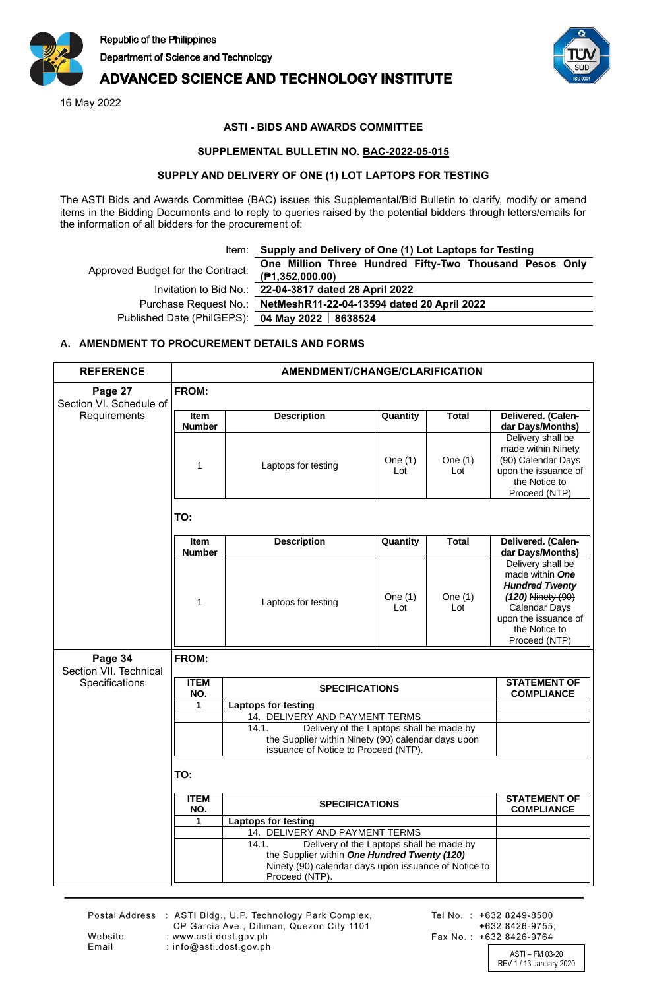

## **ADVANCED SCIENCE AND TECHNOLOGY INSTITUTE**

16 May 2022



### **ASTI - BIDS AND AWARDS COMMITTEE**

#### **SUPPLEMENTAL BULLETIN NO. BAC-2022-05-015**

#### **SUPPLY AND DELIVERY OF ONE (1) LOT LAPTOPS FOR TESTING**

The ASTI Bids and Awards Committee (BAC) issues this Supplemental/Bid Bulletin to clarify, modify or amend items in the Bidding Documents and to reply to queries raised by the potential bidders through letters/emails for the information of all bidders for the procurement of:

|  |  | Item: Supply and Delivery of One (1) Lot Laptops for Testing |  |  |  |
|--|--|--------------------------------------------------------------|--|--|--|
|--|--|--------------------------------------------------------------|--|--|--|

| Approved Budget for the Contract:                | One Million Three Hundred Fifty-Two Thousand Pesos Only<br>(P1,352,000.00) |
|--------------------------------------------------|----------------------------------------------------------------------------|
|                                                  | Invitation to Bid No.: 22-04-3817 dated 28 April 2022                      |
|                                                  | Purchase Request No.: NetMeshR11-22-04-13594 dated 20 April 2022           |
| Published Date (PhilGEPS): 04 May 2022   8638524 |                                                                            |

# **(₱1,352,000.00)** Invitation to Bid No.: **22-04-3817 dated 28 April 2022**

Purchase Request No.: **NetMeshR11-22-04-13594 dated 20 April 2022** Published Date (PhilGEPS): **04 May 2022 8638524**

#### **A. AMENDMENT TO PROCUREMENT DETAILS AND FORMS**

| <b>REFERENCE</b>                   | <b>AMENDMENT/CHANGE/CLARIFICATION</b> |                                                                                                                                                                                                               |                  |                  |                                                                                                                                                                      |  |  |  |
|------------------------------------|---------------------------------------|---------------------------------------------------------------------------------------------------------------------------------------------------------------------------------------------------------------|------------------|------------------|----------------------------------------------------------------------------------------------------------------------------------------------------------------------|--|--|--|
| Page 27<br>Section VI. Schedule of | <b>FROM:</b>                          |                                                                                                                                                                                                               |                  |                  |                                                                                                                                                                      |  |  |  |
| Requirements                       | <b>Item</b><br><b>Number</b>          | <b>Description</b>                                                                                                                                                                                            | Quantity         | <b>Total</b>     | Delivered. (Calen-<br>dar Days/Months)                                                                                                                               |  |  |  |
|                                    | 1                                     | Laptops for testing                                                                                                                                                                                           | One $(1)$<br>Lot | One $(1)$<br>Lot | Delivery shall be<br>made within Ninety<br>(90) Calendar Days<br>upon the issuance of<br>the Notice to<br>Proceed (NTP)                                              |  |  |  |
|                                    | TO:                                   |                                                                                                                                                                                                               |                  |                  |                                                                                                                                                                      |  |  |  |
|                                    | <b>Item</b><br><b>Number</b>          | <b>Description</b>                                                                                                                                                                                            | Quantity         | <b>Total</b>     | Delivered. (Calen-<br>dar Days/Months)                                                                                                                               |  |  |  |
|                                    | 1                                     | Laptops for testing                                                                                                                                                                                           | One $(1)$<br>Lot | One $(1)$<br>Lot | Delivery shall be<br>made within <b>One</b><br><b>Hundred Twenty</b><br>(120) Ninety (90)<br>Calendar Days<br>upon the issuance of<br>the Notice to<br>Proceed (NTP) |  |  |  |
| Page 34<br>Section VII. Technical  | <b>FROM:</b>                          |                                                                                                                                                                                                               |                  |                  |                                                                                                                                                                      |  |  |  |
| Specifications                     | <b>ITEM</b><br>NO.                    | <b>SPECIFICATIONS</b>                                                                                                                                                                                         |                  |                  | <b>STATEMENT OF</b><br><b>COMPLIANCE</b>                                                                                                                             |  |  |  |
|                                    | 1                                     | <b>Laptops for testing</b><br>14. DELIVERY AND PAYMENT TERMS                                                                                                                                                  |                  |                  |                                                                                                                                                                      |  |  |  |
|                                    |                                       | Delivery of the Laptops shall be made by<br>14.1.<br>the Supplier within Ninety (90) calendar days upon<br>issuance of Notice to Proceed (NTP).                                                               |                  |                  |                                                                                                                                                                      |  |  |  |
|                                    | TO:                                   |                                                                                                                                                                                                               |                  |                  |                                                                                                                                                                      |  |  |  |
|                                    | <b>ITEM</b><br>NO.                    | <b>SPECIFICATIONS</b>                                                                                                                                                                                         |                  |                  | <b>STATEMENT OF</b><br><b>COMPLIANCE</b>                                                                                                                             |  |  |  |
|                                    | 1                                     | <b>Laptops for testing</b>                                                                                                                                                                                    |                  |                  |                                                                                                                                                                      |  |  |  |
|                                    |                                       | 14. DELIVERY AND PAYMENT TERMS<br>Delivery of the Laptops shall be made by<br>14.1.<br>the Supplier within One Hundred Twenty (120)<br>Ninety (90) calendar days upon issuance of Notice to<br>Proceed (NTP). |                  |                  |                                                                                                                                                                      |  |  |  |